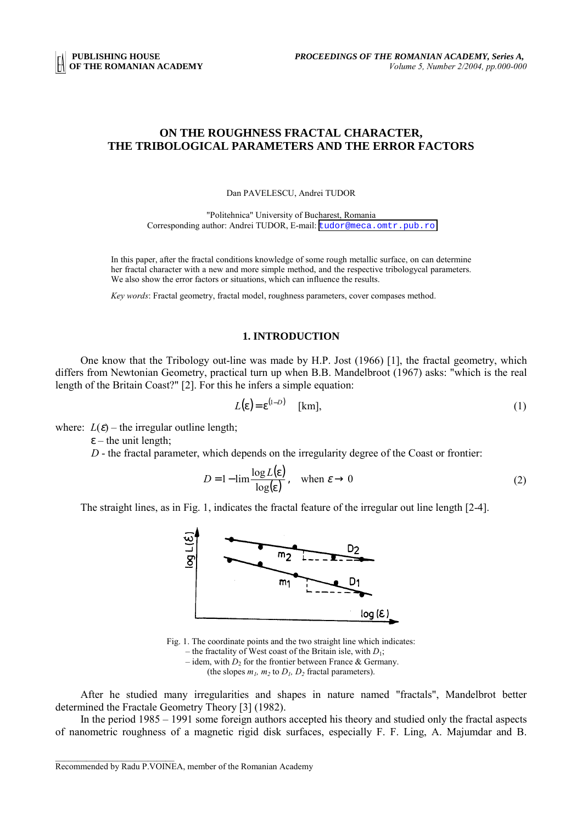# **ON THE ROUGHNESS FRACTAL CHARACTER, THE TRIBOLOGICAL PARAMETERS AND THE ERROR FACTORS**

Dan PAVELESCU, Andrei TUDOR

"Politehnica" University of Bucharest, Romania Corresponding author: Andrei TUDOR, E-mail: [tudor@meca.omtr.pub.ro](mailto:tudor@meca.omtr.pub.ro)

In this paper, after the fractal conditions knowledge of some rough metallic surface, on can determine her fractal character with a new and more simple method, and the respective tribologycal parameters. We also show the error factors or situations, which can influence the results.

*Key words*: Fractal geometry, fractal model, roughness parameters, cover compases method.

## **1. INTRODUCTION**

One know that the Tribology out-line was made by H.P. Jost (1966) [1], the fractal geometry, which differs from Newtonian Geometry, practical turn up when B.B. Mandelbroot (1967) asks: "which is the real length of the Britain Coast?" [2]. For this he infers a simple equation:

$$
L(\varepsilon) = \varepsilon^{(1-D)} \quad [\text{km}], \tag{1}
$$

where:  $L(\varepsilon)$  – the irregular outline length;

 $\varepsilon$  – the unit length:

*D* - the fractal parameter, which depends on the irregularity degree of the Coast or frontier:

$$
D = 1 - \lim_{\delta \to 0} \frac{\log L(\epsilon)}{\log(\epsilon)}, \quad \text{when } \epsilon \to 0
$$
 (2)

The straight lines, as in Fig. 1, indicates the fractal feature of the irregular out line length [2-4].



Fig. 1. The coordinate points and the two straight line which indicates:

– the fractality of West coast of the Britain isle, with  $D_1$ ;

– idem, with  $D_2$  for the frontier between France & Germany. (the slopes  $m_1$ ,  $m_2$  to  $D_1$ ,  $D_2$  fractal parameters).

After he studied many irregularities and shapes in nature named "fractals", Mandelbrot better determined the Fractale Geometry Theory [3] (1982).

In the period 1985 – 1991 some foreign authors accepted his theory and studied only the fractal aspects of nanometric roughness of a magnetic rigid disk surfaces, especially F. F. Ling, A. Majumdar and B.

 $\mathcal{L}_\text{max}$ 

Recommended by Radu P.VOINEA, member of the Romanian Academy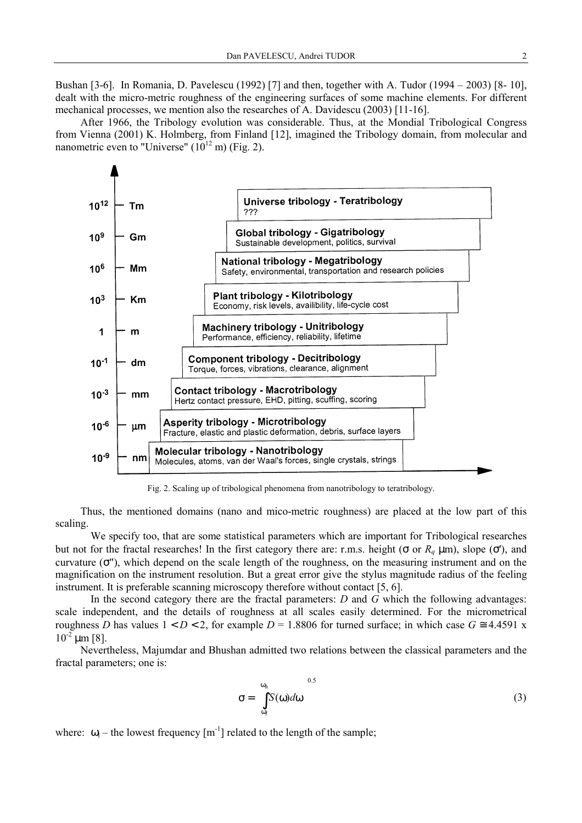Bushan [3-6]. In Romania, D. Pavelescu (1992) [7] and then, together with A. Tudor (1994 – 2003) [8- 10], dealt with the micro-metric roughness of the engineering surfaces of some machine elements. For different mechanical processes, we mention also the researches of A. Davidescu (2003) [11-16].

After 1966, the Tribology evolution was considerable. Thus, at the Mondial Tribological Congress from Vienna (2001) K. Holmberg, from Finland [12], imagined the Tribology domain, from molecular and nanometric even to "Universe"  $(10^{12} \text{ m})$  (Fig. 2).



Fig. 2. Scaling up of tribological phenomena from nanotribology to teratribology.

Thus, the mentioned domains (nano and mico-metric roughness) are placed at the low part of this scaling.

We specify too, that are some statistical parameters which are important for Tribological researches but not for the fractal researches! In the first category there are: r.m.s. height (σ or  $R_q$  μm), slope (σ'), and curvature  $(\sigma$ "), which depend on the scale length of the roughness, on the measuring instrument and on the magnification on the instrument resolution. But a great error give the stylus magnitude radius of the feeling instrument. It is preferable scanning microscopy therefore without contact [5, 6].

In the second category there are the fractal parameters: *D* and *G* which the following advantages: scale independent, and the details of roughness at all scales easily determined. For the micrometrical roughness *D* has values  $1 < D < 2$ , for example  $D = 1.8806$  for turned surface; in which case  $G \approx 4.4591$  x  $10^{-2}$  um [8].

Nevertheless, Majumdar and Bhushan admitted two relations between the classical parameters and the fractal parameters; one is:

$$
\sigma = \left[\int_{\omega_l}^{\omega_h} S(\omega) d\omega\right]^{0.5} \tag{3}
$$

where:  $\omega_{\rm l}$  – the lowest frequency  ${\rm [m^{-1}]}$  related to the length of the sample;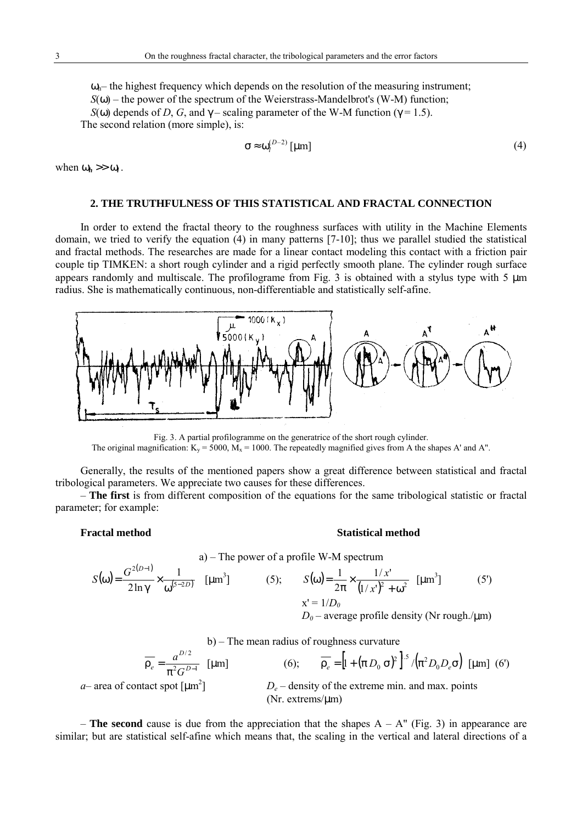$\omega_{h}$ – the highest frequency which depends on the resolution of the measuring instrument;  $S(\omega)$  – the power of the spectrum of the Weierstrass-Mandelbrot's (W-M) function; *S*(ω) depends of *D*, *G*, and  $\gamma$  – scaling parameter of the W-M function ( $\gamma$  = 1.5). The second relation (more simple), is:

$$
\sigma \approx \omega_l^{(D-2)} \, [\mu m] \tag{4}
$$

when  $\omega_h \gg \omega_l$ .

# **2. THE TRUTHFULNESS OF THIS STATISTICAL AND FRACTAL CONNECTION**

In order to extend the fractal theory to the roughness surfaces with utility in the Machine Elements domain, we tried to verify the equation (4) in many patterns [7-10]; thus we parallel studied the statistical and fractal methods. The researches are made for a linear contact modeling this contact with a friction pair couple tip TIMKEN: a short rough cylinder and a rigid perfectly smooth plane. The cylinder rough surface appears randomly and multiscale. The profilograme from Fig. 3 is obtained with a stylus type with 5  $\mu$ m radius. She is mathematically continuous, non-differentiable and statistically self-afine.



Fig. 3. A partial profilogramme on the generatrice of the short rough cylinder. The original magnification:  $K_v = 5000$ ,  $M_x = 1000$ . The repeatedly magnified gives from A the shapes A' and A".

Generally, the results of the mentioned papers show a great difference between statistical and fractal tribological parameters. We appreciate two causes for these differences.

– **The first** is from different composition of the equations for the same tribological statistic or fractal parameter; for example:

#### **Fractal method Statistical method**

a) – The power of a profile W-M spectrum

$$
S(\omega) = \frac{G^{2(D-1)}}{2\ln \gamma} \times \frac{1}{\omega^{(5-2D)}} \quad \text{[µm}^3\text{]} \tag{5}; \qquad S(\omega) = \frac{1}{2\pi} \times \frac{1/x'}{(1/x')^2 + \omega^2} \quad \text{[µm}^3\text{]} \tag{5}
$$
\n
$$
x' = 1/D_0
$$
\n
$$
D_0 - \text{average profile density (Nr rough./µm)}
$$

b) – The mean radius of roughness curvature

(Nr. extrems/µm)

$$
\overline{\rho_e} = \frac{a^{D/2}}{\pi^2 G^{D-1}} \text{ [µm]} \qquad (6); \qquad \overline{\rho_e} = \left[ 1 + (\pi D_0 \sigma)^2 \right]^{1.5} / (\pi^2 D_0 D_e \sigma) \text{ [µm]} \tag{6}
$$
  
*a*– area of contact spot [µm<sup>2</sup>]  
*D<sub>e</sub>* – density of the extreme min. and max. points

 $-$  **The second** cause is due from the appreciation that the shapes  $A - A''$  (Fig. 3) in appearance are similar; but are statistical self-afine which means that, the scaling in the vertical and lateral directions of a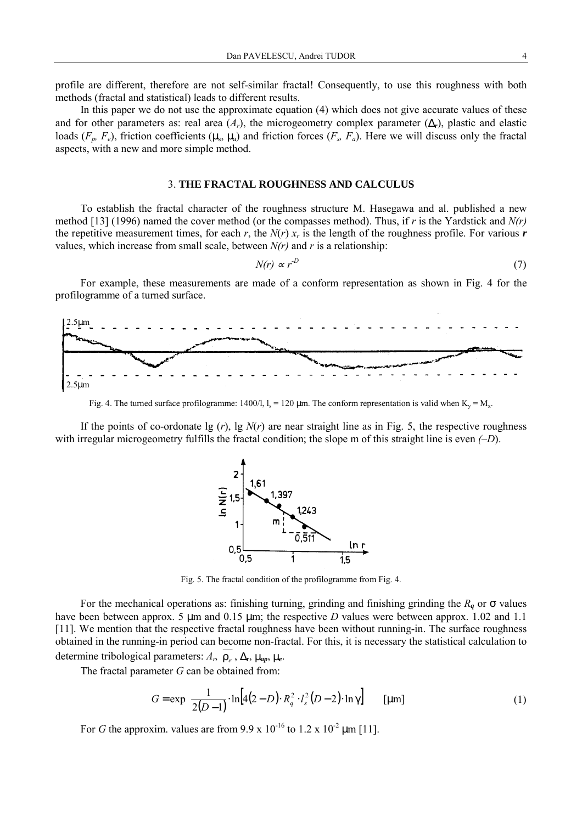profile are different, therefore are not self-similar fractal! Consequently, to use this roughness with both methods (fractal and statistical) leads to different results.

In this paper we do not use the approximate equation (4) which does not give accurate values of these and for other parameters as: real area  $(A_r)$ , the microgeometry complex parameter  $(\Delta_r)$ , plastic and elastic loads  $(F_p, F_e)$ , friction coefficients  $(\mu_s, \mu_a)$  and friction forces  $(F_s, F_a)$ . Here we will discuss only the fractal aspects, with a new and more simple method.

### 3. **THE FRACTAL ROUGHNESS AND CALCULUS**

To establish the fractal character of the roughness structure M. Hasegawa and al. published a new method [13] (1996) named the cover method (or the compasses method). Thus, if *r* is the Yardstick and *N(r)* the repetitive measurement times, for each *r*, the  $N(r)$   $x_r$  is the length of the roughness profile. For various *r* values, which increase from small scale, between *N(r)* and *r* is a relationship:

$$
N(r) \propto r^{-D} \tag{7}
$$

For example, these measurements are made of a conform representation as shown in Fig. 4 for the profilogramme of a turned surface.



Fig. 4. The turned surface profilogramme: 1400/l,  $l_s = 120 \mu m$ . The conform representation is valid when  $K_v = M_x$ .

If the points of co-ordonate  $\lg(r)$ ,  $\lg N(r)$  are near straight line as in Fig. 5, the respective roughness with irregular microgeometry fulfills the fractal condition; the slope m of this straight line is even *(–D*).



Fig. 5. The fractal condition of the profilogramme from Fig. 4.

For the mechanical operations as: finishing turning, grinding and finishing grinding the  $R_q$  or  $\sigma$  values have been between approx. 5  $\mu$ m and 0.15  $\mu$ m; the respective *D* values were between approx. 1.02 and 1.1 [11]. We mention that the respective fractal roughness have been without running-in. The surface roughness obtained in the running-in period can become non-fractal. For this, it is necessary the statistical calculation to determine tribological parameters: *Ar,* ρ*<sup>e</sup>* , ∆*r*, µ*ap*, µ*e*.

The fractal parameter *G* can be obtained from:

$$
G = \exp\left\{\frac{1}{2(D-1)} \cdot \ln[4(2-D) \cdot R_q^2 \cdot l_s^2(D-2) \cdot \ln \gamma]\right\} \quad [\mu m]
$$
 (1)

For *G* the approxim. values are from 9.9 x  $10^{-16}$  to 1.2 x  $10^{-2}$  µm [11].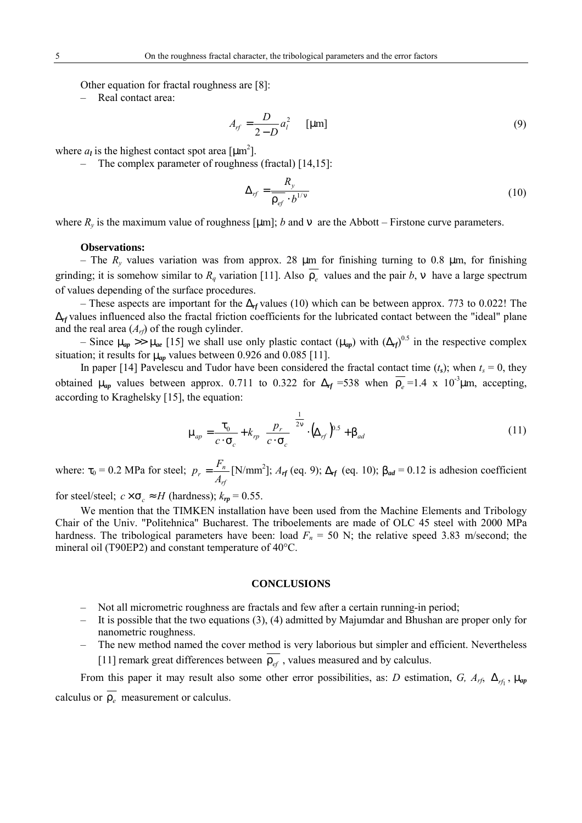Other equation for fractal roughness are [8]:

Real contact area:

$$
A_{rf} = \frac{D}{2 - D} a_l^2 \qquad \text{[µm]}
$$
 (9)

where  $a_l$  is the highest contact spot area  $\text{[µm}^2\text{]}$ .

– The complex parameter of roughness (fractal) [14,15]:

$$
\Delta_{rf} = \frac{R_y}{\overline{\rho_{ef}} \cdot b^{1/\nu}}
$$
\n(10)

where  $R<sub>v</sub>$  is the maximum value of roughness [µm]; *b* and v are the Abbott – Firstone curve parameters.

#### **Observations:**

– The  $R_y$  values variation was from approx. 28  $\mu$ m for finishing turning to 0.8  $\mu$ m, for finishing grinding; it is somehow similar to  $R_q$  variation [11]. Also  $\rho$  values and the pair *b*, v have a large spectrum of values depending of the surface procedures.

– These aspects are important for the ∆*rf* values (10) which can be between approx. 773 to 0.022! The ∆*rf* values influenced also the fractal friction coefficients for the lubricated contact between the "ideal" plane and the real area (*Arf*) of the rough cylinder.

– Since  $\mu_{ap} \gg \mu_{ae}$  [15] we shall use only plastic contact  $(\mu_{ap})$  with  $(\Delta_{rf})^{0.5}$  in the respective complex situation; it results for  $\mu_{ap}$  values between 0.926 and 0.085 [11].

In paper [14] Pavelescu and Tudor have been considered the fractal contact time  $(t_s)$ ; when  $t_s = 0$ , they obtained  $\mu_{ap}$  values between approx. 0.711 to 0.322 for  $\Delta_{rf}$  =538 when  $\rho_{\rho}$  =1.4 x 10<sup>-3</sup>µm, accepting, according to Kraghelsky [15], the equation:

$$
\mu_{ap} = \frac{\tau_0}{c \cdot \sigma_c} + k_{rp} \left( \frac{p_r}{c \cdot \sigma_c} \right)^{\frac{1}{2v}} \cdot (\Delta_{rf})^{0.5} + \beta_{ad} \tag{11}
$$

where:  $\tau_0 = 0.2$  MPa for steel; *rf*  $r = \frac{r_n}{A_{rt}}$  $p_r = \frac{F_n}{I}$  [N/mm<sup>2</sup>];  $A_{rf}$  (eq. 9);  $\Delta_{rf}$  (eq. 10);  $\beta_{ad} = 0.12$  is adhesion coefficient

for steel/steel;  $c \times \sigma_c \approx H$  (hardness);  $k_{rp} = 0.55$ .

We mention that the TIMKEN installation have been used from the Machine Elements and Tribology Chair of the Univ. "Politehnica" Bucharest. The triboelements are made of OLC 45 steel with 2000 MPa hardness. The tribological parameters have been: load  $F_n = 50$  N; the relative speed 3.83 m/second; the mineral oil (T90EP2) and constant temperature of 40°C.

#### **CONCLUSIONS**

- Not all micrometric roughness are fractals and few after a certain running-in period;
- It is possible that the two equations (3), (4) admitted by Majumdar and Bhushan are proper only for nanometric roughness.
- The new method named the cover method is very laborious but simpler and efficient. Nevertheless [11] remark great differences between  $\rho_{ef}$ , values measured and by calculus.

From this paper it may result also some other error possibilities, as: *D* estimation, *G, A<sub>rf</sub>*,  $\Delta_{rf}$ ,  $\mu_{ap}$ calculus or  $\rho_e$  measurement or calculus.